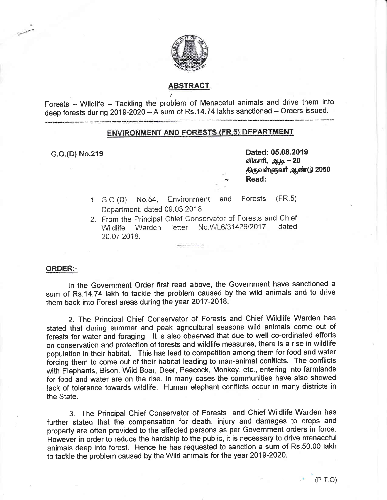

### ABSTRACT

Forests - Wildlife - Tackling the problem of Menaceful animals and drive them into deep forests during  $2019-2020 - A$  sum of Rs.14.74 lakhs sanctioned - Orders issued.

# **ENVIRONMENT AND FORESTS (FR.5) DEPARTMENT**

G.O.(D) No.219 **Dated: 05.08.2019** விகாரி, ஆடி **– 20** திருவள்ளுவர் ஆண்டு 2050 Read:

- 1. G.O.(D) No.54, Environment and Forests (FR.5) Department, dated 09.03.2018.
- 2. From the Principal Chief Conservator of Forests and Chief<br>Wildlife Warden letter No.WL6/31426/2017. dated Wildlife Warden letter No.WL6/31426/2017, 20.07.2018.

#### ORDER:-

ln the Government Order first read above, the Government have sanctioned a sum of Rs.14.74 lakh to tackle the problem caused by the wild animals and to drive them back into Forest areas during the year 2017-2018.

2. The Principal Chief Conseruator of Forests and Chief Wildlife Warden has stated that during sumrner and peak agricultural seasons wild animals come out of forests for water and foraging. lt is also obserued that due to well co-ordinated efforts on conservation and protection of forests and wildlife measures, there is a rise in wildlife population in their habitat. This has lead to competition among them for food and water forcing them to come out of their habitat leading to man-animal conflicts. The conflicts with Elephants, Bison, Wild Boar, Deer, Peacock, Monkey, etc., entering into farmlands for food and water are on the rise. In many cases the communities have also showed lack of tolerance towards wildlife. Human elephant conflicts occur in rnany districts in the State.

3. The Frincipal Chief Conservator of Fonests and Chief Wildlife Warden has further stated that the compensation for death, injury and damages to crops and property are often provided to the affected persons as per Government orders in force. However in order to reduce the hardship to the public, it is necessary to drive menaceful animals deep into forest. Hence he has requested to sanction a sum of Rs.50.00 lakh to tackle the problem caused by the Wild animals for the year 2019-2024.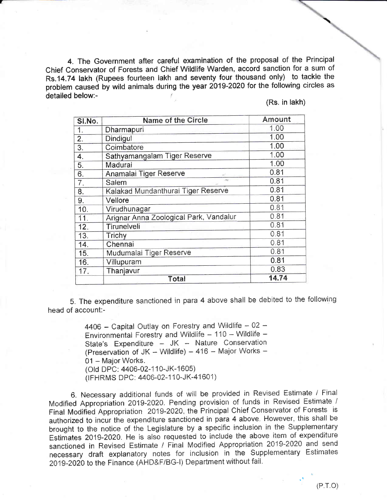4. The Government after careful examination of the proposal of the Principal Chief Conservator of Forests and Chief Wildlife Warden, accord sanction for a sum of Rs.14.74 lakh (Rupees fourteen lakh and seventy four thousand only) to tackle the problem caused by wild animals during the year 2019-2020 for the following circles as detailed below:-

(Rs. in lakh)

| SI.No.           | <b>Name of the Circle</b>              | Amount |
|------------------|----------------------------------------|--------|
| 1.               | Dharmapuri                             | 1.00   |
| $\overline{2}$ . | Dindigul                               | 1.00   |
| 3.               | Coimbatore                             | 1.00   |
| 4.               | Sathyamangalam Tiger Reserve           | 1.00   |
| 5.               | Madurai                                | 1.00   |
| 6.               | Anamalai Tiger Reserve                 | 0.81   |
| 7.               | Salem                                  | 0.81   |
| 8.               | Kalakad Mundanthurai Tiger Reserve     | 0.81   |
| 9.               | Vellore                                | 0.81   |
| 10.              | Virudhunagar                           | 0.81   |
| 11.              | Arignar Anna Zoological Park, Vandalur | 0.81   |
| 12.              | Tirunelveli                            | 0.81   |
| 13.              | Trichy                                 | 0.81   |
| 14.              | Chennai                                | 0.81   |
| 15.              | Mudumalai Tiger Reserve                | 0.81   |
| 16.              | Villupuram                             | 0.81   |
| 17.              | Thanjavur                              | 0.83   |
|                  | Total                                  | 14.74  |

5. The expenditure sanctioned in para 4 above shall be debited to the following head of account:-

> 4406 - Capital Outlay on Forestry and Wildlife - 02 -Environmental Forestry and Wildlife - 110 - Wildlife -State's Expenditure - JK - Nature Conservation (Preservation of JK - Wildlife) - 416 - Major Works -01 - Major Works. (Old DPC: 4406-02-110-JK-1605)

(IFHRMS DPC: 4406-02-110-JK-41601)

6. Necessary additional funds of will be provided in Revised Estimate / Final Modified Appropriation 2019-2020. Pending provision of funds in Revised Estimate / Final Modified Appropriation 2019-2020, the Principal Chief Conservator of Forests is authorized to incur the expenditure sanctioned in para 4 above. However, this shall be brought to the notice of the Legislature by a specific inclusion in the Supplementary Estimates 2019-2020. He is also requested to include the above item of expenditure sanctioned in Revised Estimate / Final Modified Appropriation 2019-2020 and send necessary draft explanatory notes for inclusion in the Supplementary Estimates 2019-2020 to the Finance (AHD&F/BG-I) Department without fail.